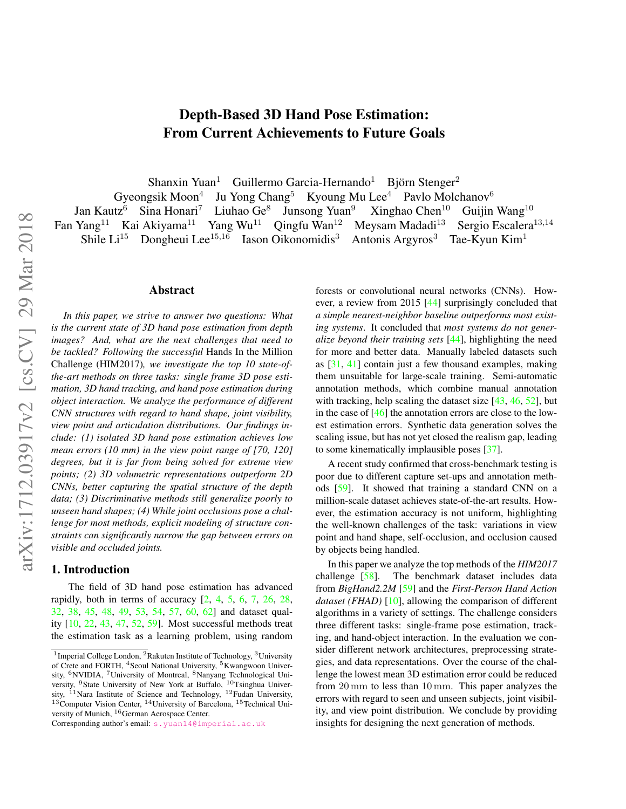# Depth-Based 3D Hand Pose Estimation: From Current Achievements to Future Goals

Shanxin Yuan<sup>1</sup> Guillermo Garcia-Hernando<sup>1</sup> Björn Stenger<sup>2</sup>

<span id="page-0-0"></span>Gyeongsik Moon<sup>4</sup> Ju Yong Chang<sup>5</sup> Kyoung Mu Lee<sup>4</sup> Pavlo Molchanov<sup>6</sup><br>ttz<sup>6</sup> Sina Honari<sup>7</sup> Liuhao Ge<sup>8</sup> Junsong Yuan<sup>9</sup> Xinghao Chen<sup>10</sup> Guijin Wang<sup>10</sup> Jan Kautz<sup>6</sup> Sina Honari<sup>7</sup> Liuhao Ge<sup>8</sup> Junsong Yuan<sup>9</sup> Fan Yang<sup>11</sup> Kai Akiyama<sup>11</sup> Yang Wu<sup>11</sup> Qingfu Wan<sup>12</sup> Meysam Madadi<sup>13</sup> Sergio Escalera<sup>13,14</sup> Shile Li<sup>15</sup> Dongheui Lee<sup>15,16</sup> Iason Oikonomidis<sup>3</sup> Antonis Argyros<sup>3</sup> Tae-Kyun Kim<sup>1</sup>

#### Abstract

*In this paper, we strive to answer two questions: What is the current state of 3D hand pose estimation from depth images? And, what are the next challenges that need to be tackled? Following the successful* Hands In the Million Challenge (HIM2017)*, we investigate the top 10 state-ofthe-art methods on three tasks: single frame 3D pose estimation, 3D hand tracking, and hand pose estimation during object interaction. We analyze the performance of different CNN structures with regard to hand shape, joint visibility, view point and articulation distributions. Our findings include: (1) isolated 3D hand pose estimation achieves low mean errors (10 mm) in the view point range of [70, 120] degrees, but it is far from being solved for extreme view points; (2) 3D volumetric representations outperform 2D CNNs, better capturing the spatial structure of the depth data; (3) Discriminative methods still generalize poorly to unseen hand shapes; (4) While joint occlusions pose a challenge for most methods, explicit modeling of structure constraints can significantly narrow the gap between errors on visible and occluded joints.*

# 1. Introduction

The field of 3D hand pose estimation has advanced rapidly, both in terms of accuracy  $[2, 4, 5, 6, 7, 26, 28,$  $[2, 4, 5, 6, 7, 26, 28,$  $[2, 4, 5, 6, 7, 26, 28,$  $[2, 4, 5, 6, 7, 26, 28,$  $[2, 4, 5, 6, 7, 26, 28,$  $[2, 4, 5, 6, 7, 26, 28,$  $[2, 4, 5, 6, 7, 26, 28,$  $[2, 4, 5, 6, 7, 26, 28,$  $[2, 4, 5, 6, 7, 26, 28,$  $[2, 4, 5, 6, 7, 26, 28,$  $[2, 4, 5, 6, 7, 26, 28,$  $[2, 4, 5, 6, 7, 26, 28,$  $[2, 4, 5, 6, 7, 26, 28,$ [32,](#page-8-7) [38,](#page-8-8) [45,](#page-9-0) [48,](#page-9-1) [49,](#page-9-2) [53,](#page-9-3) [54,](#page-9-4) [57,](#page-9-5) [60,](#page-9-6) [62\]](#page-9-7) and dataset quality [\[10,](#page-8-9) [22,](#page-8-10) [43,](#page-9-8) [47,](#page-9-9) [52,](#page-9-10) [59\]](#page-9-11). Most successful methods treat the estimation task as a learning problem, using random

forests or convolutional neural networks (CNNs). However, a review from 2015 [\[44\]](#page-9-12) surprisingly concluded that *a simple nearest-neighbor baseline outperforms most existing systems*. It concluded that *most systems do not generalize beyond their training sets* [\[44\]](#page-9-12), highlighting the need for more and better data. Manually labeled datasets such as [\[31,](#page-8-11) [41\]](#page-9-13) contain just a few thousand examples, making them unsuitable for large-scale training. Semi-automatic annotation methods, which combine manual annotation with tracking, help scaling the dataset size [\[43,](#page-9-8) [46,](#page-9-14) [52\]](#page-9-10), but in the case of [\[46\]](#page-9-14) the annotation errors are close to the lowest estimation errors. Synthetic data generation solves the scaling issue, but has not yet closed the realism gap, leading to some kinematically implausible poses [\[37\]](#page-8-12).

A recent study confirmed that cross-benchmark testing is poor due to different capture set-ups and annotation methods [\[59\]](#page-9-11). It showed that training a standard CNN on a million-scale dataset achieves state-of-the-art results. However, the estimation accuracy is not uniform, highlighting the well-known challenges of the task: variations in view point and hand shape, self-occlusion, and occlusion caused by objects being handled.

In this paper we analyze the top methods of the *HIM2017* challenge [\[58\]](#page-9-15). The benchmark dataset includes data from *BigHand2.2M* [\[59\]](#page-9-11) and the *First-Person Hand Action dataset (FHAD)* [\[10\]](#page-8-9), allowing the comparison of different algorithms in a variety of settings. The challenge considers three different tasks: single-frame pose estimation, tracking, and hand-object interaction. In the evaluation we consider different network architectures, preprocessing strategies, and data representations. Over the course of the challenge the lowest mean 3D estimation error could be reduced from 20 mm to less than 10 mm. This paper analyzes the errors with regard to seen and unseen subjects, joint visibility, and view point distribution. We conclude by providing insights for designing the next generation of methods.

<sup>&</sup>lt;sup>1</sup> Imperial College London, <sup>2</sup>Rakuten Institute of Technology, <sup>3</sup>University of Crete and FORTH, <sup>4</sup>Seoul National University, <sup>5</sup>Kwangwoon University, <sup>6</sup>NVIDIA, <sup>7</sup>University of Montreal, <sup>8</sup>Nanyang Technological University, <sup>9</sup>State University of New York at Buffalo, <sup>10</sup>Tsinghua University, <sup>11</sup>Nara Institute of Science and Technology, <sup>12</sup>Fudan University,  $13$ Computer Vision Center,  $14$ University of Barcelona,  $15$ Technical University of Munich, <sup>16</sup>German Aerospace Center.

Corresponding author's email: [s.yuan14@imperial.ac.uk](mailto:s.yuan14@imperial.ac.uk)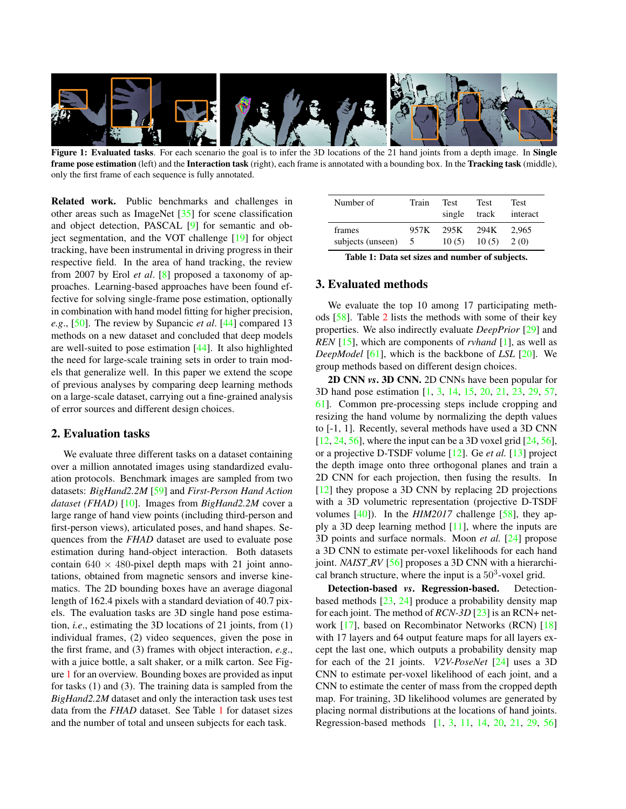<span id="page-1-2"></span><span id="page-1-0"></span>

Figure 1: Evaluated tasks. For each scenario the goal is to infer the 3D locations of the 21 hand joints from a depth image. In Single frame pose estimation (left) and the Interaction task (right), each frame is annotated with a bounding box. In the Tracking task (middle), only the first frame of each sequence is fully annotated.

Related work. Public benchmarks and challenges in other areas such as ImageNet [\[35\]](#page-8-13) for scene classification and object detection, PASCAL [\[9\]](#page-8-14) for semantic and object segmentation, and the VOT challenge [\[19\]](#page-8-15) for object tracking, have been instrumental in driving progress in their respective field. In the area of hand tracking, the review from 2007 by Erol *et al*. [\[8\]](#page-8-16) proposed a taxonomy of approaches. Learning-based approaches have been found effective for solving single-frame pose estimation, optionally in combination with hand model fitting for higher precision, *e.g*., [\[50\]](#page-9-16). The review by Supancic *et al*. [\[44\]](#page-9-12) compared 13 methods on a new dataset and concluded that deep models are well-suited to pose estimation [\[44\]](#page-9-12). It also highlighted the need for large-scale training sets in order to train models that generalize well. In this paper we extend the scope of previous analyses by comparing deep learning methods on a large-scale dataset, carrying out a fine-grained analysis of error sources and different design choices.

## 2. Evaluation tasks

We evaluate three different tasks on a dataset containing over a million annotated images using standardized evaluation protocols. Benchmark images are sampled from two datasets: *BigHand2.2M* [\[59\]](#page-9-11) and *First-Person Hand Action dataset (FHAD)* [\[10\]](#page-8-9). Images from *BigHand2.2M* cover a large range of hand view points (including third-person and first-person views), articulated poses, and hand shapes. Sequences from the *FHAD* dataset are used to evaluate pose estimation during hand-object interaction. Both datasets contain  $640 \times 480$ -pixel depth maps with 21 joint annotations, obtained from magnetic sensors and inverse kinematics. The 2D bounding boxes have an average diagonal length of 162.4 pixels with a standard deviation of 40.7 pixels. The evaluation tasks are 3D single hand pose estimation, *i.e*., estimating the 3D locations of 21 joints, from (1) individual frames, (2) video sequences, given the pose in the first frame, and (3) frames with object interaction, *e.g*., with a juice bottle, a salt shaker, or a milk carton. See Figure [1](#page-1-0) for an overview. Bounding boxes are provided as input for tasks (1) and (3). The training data is sampled from the *BigHand2.2M* dataset and only the interaction task uses test data from the *FHAD* dataset. See Table [1](#page-1-1) for dataset sizes and the number of total and unseen subjects for each task.

<span id="page-1-1"></span>

| Number of         | Train | <b>Test</b><br>single | <b>Test</b><br>track | <b>Test</b><br>interact |
|-------------------|-------|-----------------------|----------------------|-------------------------|
| frames            | 957K  | 295K                  | 294K                 | 2.965                   |
| subjects (unseen) | -5    | 10(5)                 | 10(5)                | 2(0)                    |

|  |  |  |  |  |  | Table 1: Data set sizes and number of subjects. |
|--|--|--|--|--|--|-------------------------------------------------|
|--|--|--|--|--|--|-------------------------------------------------|

## 3. Evaluated methods

We evaluate the top 10 among 17 participating methods [\[58\]](#page-9-15). Table [2](#page-2-0) lists the methods with some of their key properties. We also indirectly evaluate *DeepPrior* [\[29\]](#page-8-17) and *REN* [\[15\]](#page-8-18), which are components of *rvhand* [\[1\]](#page-8-19), as well as *DeepModel* [\[61\]](#page-9-17), which is the backbone of *LSL* [\[20\]](#page-8-20). We group methods based on different design choices.

2D CNN *vs*. 3D CNN. 2D CNNs have been popular for 3D hand pose estimation [\[1,](#page-8-19) [3,](#page-8-21) [14,](#page-8-22) [15,](#page-8-18) [20,](#page-8-20) [21,](#page-8-23) [23,](#page-8-24) [29,](#page-8-17) [57,](#page-9-5) [61\]](#page-9-17). Common pre-processing steps include cropping and resizing the hand volume by normalizing the depth values to [-1, 1]. Recently, several methods have used a 3D CNN  $[12, 24, 56]$  $[12, 24, 56]$  $[12, 24, 56]$  $[12, 24, 56]$  $[12, 24, 56]$ , where the input can be a 3D voxel grid  $[24, 56]$  $[24, 56]$ , or a projective D-TSDF volume [\[12\]](#page-8-25). Ge *et al.* [\[13\]](#page-8-27) project the depth image onto three orthogonal planes and train a 2D CNN for each projection, then fusing the results. In [\[12\]](#page-8-25) they propose a 3D CNN by replacing 2D projections with a 3D volumetric representation (projective D-TSDF volumes  $[40]$ ). In the *HIM2017* challenge  $[58]$ , they apply a 3D deep learning method [\[11\]](#page-8-28), where the inputs are 3D points and surface normals. Moon *et al.* [\[24\]](#page-8-26) propose a 3D CNN to estimate per-voxel likelihoods for each hand joint. *NAIST\_RV* [\[56\]](#page-9-18) proposes a 3D CNN with a hierarchical branch structure, where the input is a  $50<sup>3</sup>$ -voxel grid.

Detection-based *vs*. Regression-based. Detectionbased methods [\[23,](#page-8-24) [24\]](#page-8-26) produce a probability density map for each joint. The method of *RCN-3D* [\[23\]](#page-8-24) is an RCN+ network [\[17\]](#page-8-29), based on Recombinator Networks (RCN) [\[18\]](#page-8-30) with 17 layers and 64 output feature maps for all layers except the last one, which outputs a probability density map for each of the 21 joints. *V2V-PoseNet* [\[24\]](#page-8-26) uses a 3D CNN to estimate per-voxel likelihood of each joint, and a CNN to estimate the center of mass from the cropped depth map. For training, 3D likelihood volumes are generated by placing normal distributions at the locations of hand joints. Regression-based methods [\[1,](#page-8-19) [3,](#page-8-21) [11,](#page-8-28) [14,](#page-8-22) [20,](#page-8-20) [21,](#page-8-23) [29,](#page-8-17) [56\]](#page-9-18)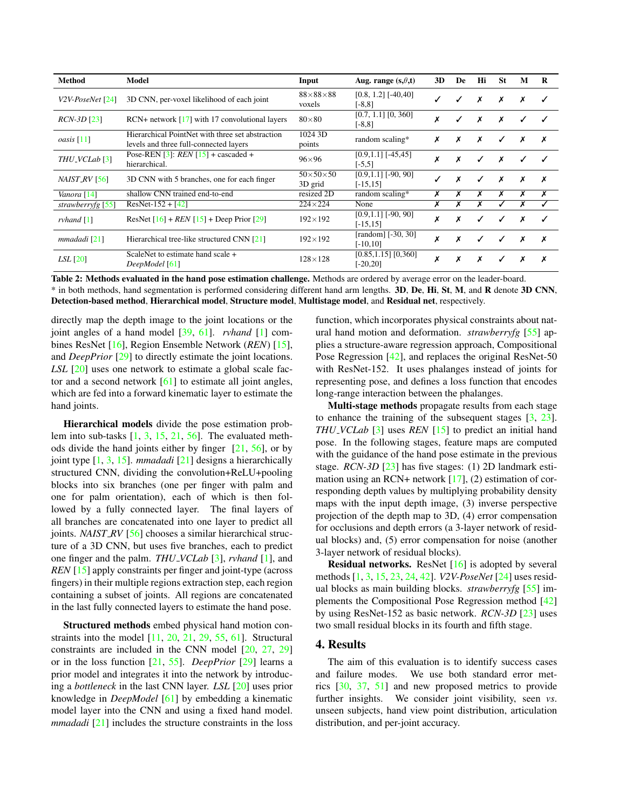<span id="page-2-1"></span><span id="page-2-0"></span>

| Method                    | Model                                                                                      | Input                           | Aug. range $(s, \theta, t)$           | 3D | De | Hi | <b>St</b> | M | R |
|---------------------------|--------------------------------------------------------------------------------------------|---------------------------------|---------------------------------------|----|----|----|-----------|---|---|
| $V2V\text{-}PoseNet [24]$ | 3D CNN, per-voxel likelihood of each joint                                                 | $88\times88\times88$<br>voxels  | $[0.8, 1.2]$ [-40,40]<br>$[-8, 8]$    |    |    | х  | Х         | Х | ✓ |
| $RCN-3D$ [23]             | $RCN+$ network [17] with 17 convolutional layers                                           | $80\times80$                    | $[0.7, 1.1]$ $[0, 360]$<br>$[-8, 8]$  | х  |    | x  | x         | ✓ |   |
| <i>oasis</i> [11]         | Hierarchical PointNet with three set abstraction<br>levels and three full-connected layers | 1024 3D<br>points               | random scaling*                       | х  | х  | Х  | ✓         | Х | x |
| THU_VCLab <sup>[3]</sup>  | Pose-REN [3]: $REN$ [15] + cascaded +<br>hierarchical.                                     | $96\times96$                    | $[0.9, 1.1]$ [-45,45]<br>$[-5,5]$     |    | X  | ℐ  | Х         |   |   |
| NAIST_RV [56]             | 3D CNN with 5 branches, one for each finger                                                | $50\times50\times50$<br>3D grid | $[0.9, 1.1]$ [-90, 90]<br>$[-15, 15]$ |    | x  | ✓  | x         | Х | Х |
| Vanora [14]               | shallow CNN trained end-to-end                                                             | resized 2D                      | random scaling*                       | х  | х  | х  | Х         | Х | Х |
| strawberryfg $[55]$       | $ResNet-152 + [42]$                                                                        | $224\times224$                  | None                                  | х  | х  | х  |           | х |   |
| rvhand $[1]$              | ResNet $[16]$ + REN $[15]$ + Deep Prior $[29]$                                             | $192\times192$                  | $[0.9, 1.1]$ [-90, 90]<br>$[-15, 15]$ | x  | х  | ✓  | ✓         | x |   |
| mmadadi [21]              | Hierarchical tree-like structured CNN [21]                                                 | $192\times192$                  | [random] $[-30, 30]$<br>$[-10, 10]$   | х  | X  | ℐ  | ✓         | х | х |
| <i>LSL</i> [20]           | ScaleNet to estimate hand scale +<br>DeepModel [61]                                        | $128 \times 128$                | [0.85, 1.15] [0, 360]<br>$[-20, 20]$  | х  | X  | х  |           | х | х |

Table 2: Methods evaluated in the hand pose estimation challenge. Methods are ordered by average error on the leader-board. \* in both methods, hand segmentation is performed considering different hand arm lengths. 3D, De, Hi, St, M, and R denote 3D CNN, Detection-based method, Hierarchical model, Structure model, Multistage model, and Residual net, respectively.

directly map the depth image to the joint locations or the joint angles of a hand model [\[39,](#page-8-32) [61\]](#page-9-17). *rvhand* [\[1\]](#page-8-19) combines ResNet [\[16\]](#page-8-31), Region Ensemble Network (*REN*) [\[15\]](#page-8-18), and *DeepPrior* [\[29\]](#page-8-17) to directly estimate the joint locations. *LSL* [\[20\]](#page-8-20) uses one network to estimate a global scale factor and a second network [\[61\]](#page-9-17) to estimate all joint angles, which are fed into a forward kinematic layer to estimate the hand joints.

Hierarchical models divide the pose estimation problem into sub-tasks [\[1,](#page-8-19) [3,](#page-8-21) [15,](#page-8-18) [21,](#page-8-23) [56\]](#page-9-18). The evaluated methods divide the hand joints either by finger  $[21, 56]$  $[21, 56]$  $[21, 56]$ , or by joint type [\[1,](#page-8-19) [3,](#page-8-21) [15\]](#page-8-18). *mmadadi* [\[21\]](#page-8-23) designs a hierarchically structured CNN, dividing the convolution+ReLU+pooling blocks into six branches (one per finger with palm and one for palm orientation), each of which is then followed by a fully connected layer. The final layers of all branches are concatenated into one layer to predict all joints. *NAIST\_RV* [\[56\]](#page-9-18) chooses a similar hierarchical structure of a 3D CNN, but uses five branches, each to predict one finger and the palm. *THU VCLab* [\[3\]](#page-8-21), *rvhand* [\[1\]](#page-8-19), and *REN* [\[15\]](#page-8-18) apply constraints per finger and joint-type (across fingers) in their multiple regions extraction step, each region containing a subset of joints. All regions are concatenated in the last fully connected layers to estimate the hand pose.

Structured methods embed physical hand motion constraints into the model [\[11,](#page-8-28) [20,](#page-8-20) [21,](#page-8-23) [29,](#page-8-17) [55,](#page-9-20) [61\]](#page-9-17). Structural constraints are included in the CNN model [\[20,](#page-8-20) [27,](#page-8-33) [29\]](#page-8-17) or in the loss function [\[21,](#page-8-23) [55\]](#page-9-20). *DeepPrior* [\[29\]](#page-8-17) learns a prior model and integrates it into the network by introducing a *bottleneck* in the last CNN layer. *LSL* [\[20\]](#page-8-20) uses prior knowledge in *DeepModel* [\[61\]](#page-9-17) by embedding a kinematic model layer into the CNN and using a fixed hand model. *mmadadi* [\[21\]](#page-8-23) includes the structure constraints in the loss

function, which incorporates physical constraints about natural hand motion and deformation. *strawberryfg* [\[55\]](#page-9-20) applies a structure-aware regression approach, Compositional Pose Regression [\[42\]](#page-9-21), and replaces the original ResNet-50 with ResNet-152. It uses phalanges instead of joints for representing pose, and defines a loss function that encodes long-range interaction between the phalanges.

Multi-stage methods propagate results from each stage to enhance the training of the subsequent stages  $[3, 23]$  $[3, 23]$  $[3, 23]$ . *THU\_VCLab* [\[3\]](#page-8-21) uses *REN* [\[15\]](#page-8-18) to predict an initial hand pose. In the following stages, feature maps are computed with the guidance of the hand pose estimate in the previous stage. *RCN-3D* [\[23\]](#page-8-24) has five stages: (1) 2D landmark estimation using an RCN+ network  $[17]$ ,  $(2)$  estimation of corresponding depth values by multiplying probability density maps with the input depth image, (3) inverse perspective projection of the depth map to 3D, (4) error compensation for occlusions and depth errors (a 3-layer network of residual blocks) and, (5) error compensation for noise (another 3-layer network of residual blocks).

Residual networks. ResNet [\[16\]](#page-8-31) is adopted by several methods [\[1,](#page-8-19) [3,](#page-8-21) [15,](#page-8-18) [23,](#page-8-24) [24,](#page-8-26) [42\]](#page-9-21). *V2V-PoseNet* [\[24\]](#page-8-26) uses residual blocks as main building blocks. *strawberryfg* [\[55\]](#page-9-20) implements the Compositional Pose Regression method [\[42\]](#page-9-21) by using ResNet-152 as basic network. *RCN-3D* [\[23\]](#page-8-24) uses two small residual blocks in its fourth and fifth stage.

## 4. Results

The aim of this evaluation is to identify success cases and failure modes. We use both standard error metrics [\[30,](#page-8-34) [37,](#page-8-12) [51\]](#page-9-22) and new proposed metrics to provide further insights. We consider joint visibility, seen *vs*. unseen subjects, hand view point distribution, articulation distribution, and per-joint accuracy.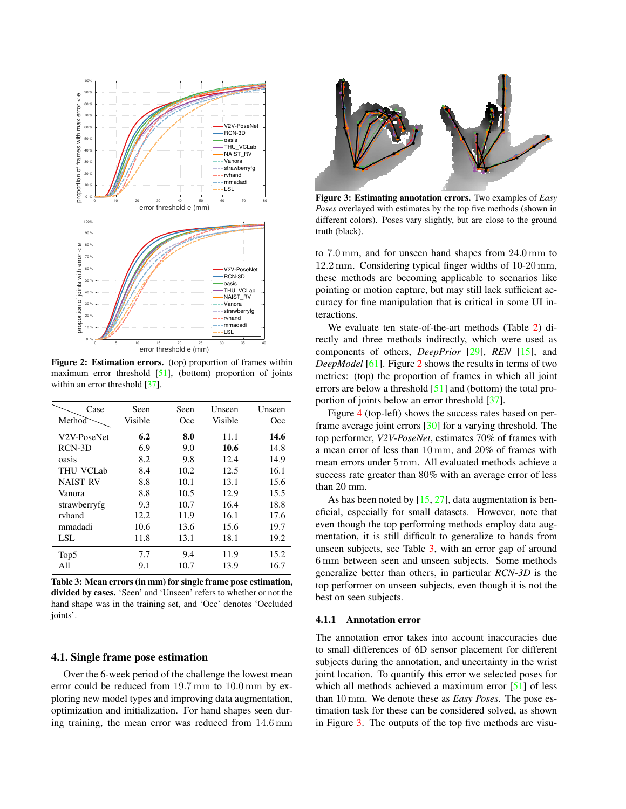<span id="page-3-3"></span><span id="page-3-0"></span>

Figure 2: Estimation errors. (top) proportion of frames within maximum error threshold [\[51\]](#page-9-22), (bottom) proportion of joints within an error threshold [\[37\]](#page-8-12).

<span id="page-3-1"></span>

| Case                     | Seen    | Seen | Unseen  | Unseen |
|--------------------------|---------|------|---------|--------|
| Method                   | Visible | Occ  | Visible | Occ    |
| V <sub>2</sub> V-PoseNet | 6.2     | 8.0  | 11.1    | 14.6   |
| RCN-3D                   | 6.9     | 9.0  | 10.6    | 14.8   |
| oasis                    | 8.2     | 9.8  | 12.4    | 14.9   |
| <b>THU_VCLab</b>         | 8.4     | 10.2 | 12.5    | 16.1   |
| <b>NAIST RV</b>          | 8.8     | 10.1 | 13.1    | 15.6   |
| Vanora                   | 8.8     | 10.5 | 12.9    | 15.5   |
| strawberryfg             | 9.3     | 10.7 | 16.4    | 18.8   |
| rvhand                   | 12.2    | 11.9 | 16.1    | 17.6   |
| mmadadi                  | 10.6    | 13.6 | 15.6    | 19.7   |
| LSL                      | 11.8    | 13.1 | 18.1    | 19.2   |
| Top <sub>5</sub>         | 7.7     | 9.4  | 11.9    | 15.2   |
| All                      | 9.1     | 10.7 | 13.9    | 16.7   |

Table 3: Mean errors (in mm) for single frame pose estimation, divided by cases. 'Seen' and 'Unseen' refers to whether or not the hand shape was in the training set, and 'Occ' denotes 'Occluded joints'.

## 4.1. Single frame pose estimation

Over the 6-week period of the challenge the lowest mean error could be reduced from 19*.*7 mm to 10*.*0 mm by exploring new model types and improving data augmentation, optimization and initialization. For hand shapes seen during training, the mean error was reduced from 14*.*6 mm

<span id="page-3-2"></span>

Figure 3: Estimating annotation errors. Two examples of *Easy Poses* overlayed with estimates by the top five methods (shown in different colors). Poses vary slightly, but are close to the ground truth (black).

to 7*.*0 mm, and for unseen hand shapes from 24*.*0 mm to 12*.*2 mm. Considering typical finger widths of 10-20 mm, these methods are becoming applicable to scenarios like pointing or motion capture, but may still lack sufficient accuracy for fine manipulation that is critical in some UI interactions.

We evaluate ten state-of-the-art methods (Table [2\)](#page-2-0) directly and three methods indirectly, which were used as components of others, *DeepPrior* [\[29\]](#page-8-17), *REN* [\[15\]](#page-8-18), and *DeepModel* [\[61\]](#page-9-17). Figure [2](#page-3-0) shows the results in terms of two metrics: (top) the proportion of frames in which all joint errors are below a threshold [\[51\]](#page-9-22) and (bottom) the total proportion of joints below an error threshold [\[37\]](#page-8-12).

Figure [4](#page-4-0) (top-left) shows the success rates based on perframe average joint errors [\[30\]](#page-8-34) for a varying threshold. The top performer, *V2V-PoseNet*, estimates 70% of frames with a mean error of less than 10 mm, and 20% of frames with mean errors under 5 mm. All evaluated methods achieve a success rate greater than 80% with an average error of less than 20 mm.

As has been noted by  $[15, 27]$  $[15, 27]$  $[15, 27]$ , data augmentation is beneficial, especially for small datasets. However, note that even though the top performing methods employ data augmentation, it is still difficult to generalize to hands from unseen subjects, see Table [3,](#page-3-1) with an error gap of around 6 mm between seen and unseen subjects. Some methods generalize better than others, in particular *RCN-3D* is the top performer on unseen subjects, even though it is not the best on seen subjects.

#### 4.1.1 Annotation error

The annotation error takes into account inaccuracies due to small differences of 6D sensor placement for different subjects during the annotation, and uncertainty in the wrist joint location. To quantify this error we selected poses for which all methods achieved a maximum error [\[51\]](#page-9-22) of less than 10 mm. We denote these as *Easy Poses*. The pose estimation task for these can be considered solved, as shown in Figure [3.](#page-3-2) The outputs of the top five methods are visu-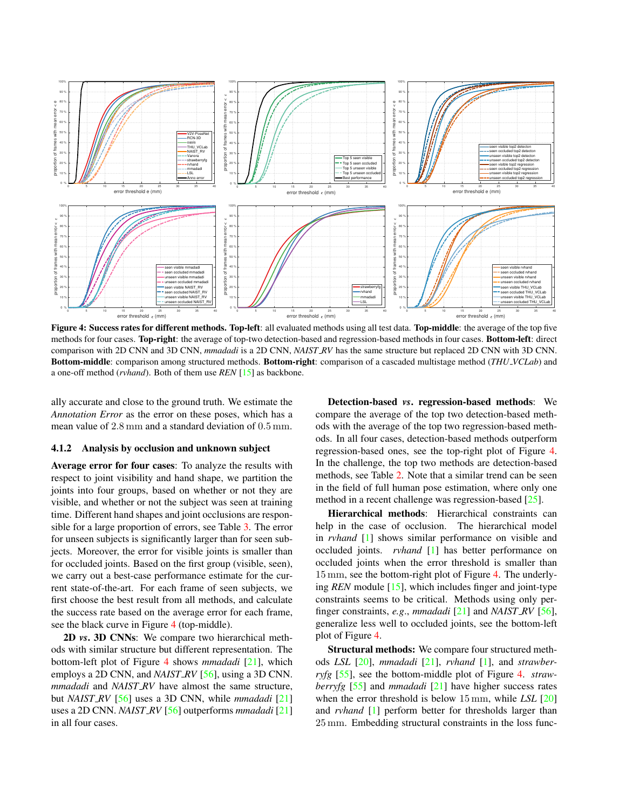<span id="page-4-1"></span><span id="page-4-0"></span>

Figure 4: Success rates for different methods. Top-left: all evaluated methods using all test data. Top-middle: the average of the top five methods for four cases. Top-right: the average of top-two detection-based and regression-based methods in four cases. Bottom-left: direct comparison with 2D CNN and 3D CNN, *mmadadi* is a 2D CNN, *NAIST RV* has the same structure but replaced 2D CNN with 3D CNN. Bottom-middle: comparison among structured methods. Bottom-right: comparison of a cascaded multistage method (*THU VCLab*) and a one-off method (*rvhand*). Both of them use *REN* [\[15\]](#page-8-18) as backbone.

ally accurate and close to the ground truth. We estimate the *Annotation Error* as the error on these poses, which has a mean value of 2*.*8 mm and a standard deviation of 0*.*5 mm.

#### 4.1.2 Analysis by occlusion and unknown subject

Average error for four cases: To analyze the results with respect to joint visibility and hand shape, we partition the joints into four groups, based on whether or not they are visible, and whether or not the subject was seen at training time. Different hand shapes and joint occlusions are responsible for a large proportion of errors, see Table [3.](#page-3-1) The error for unseen subjects is significantly larger than for seen subjects. Moreover, the error for visible joints is smaller than for occluded joints. Based on the first group (visible, seen), we carry out a best-case performance estimate for the current state-of-the-art. For each frame of seen subjects, we first choose the best result from all methods, and calculate the success rate based on the average error for each frame, see the black curve in Figure [4](#page-4-0) (top-middle).

2D *vs*. 3D CNNs: We compare two hierarchical methods with similar structure but different representation. The bottom-left plot of Figure [4](#page-4-0) shows *mmadadi* [\[21\]](#page-8-23), which employs a 2D CNN, and *NAIST\_RV* [\[56\]](#page-9-18), using a 3D CNN. *mmadadi* and *NAIST RV* have almost the same structure, but *NAIST RV* [\[56\]](#page-9-18) uses a 3D CNN, while *mmadadi* [\[21\]](#page-8-23) uses a 2D CNN. *NAIST RV* [\[56\]](#page-9-18) outperforms *mmadadi* [\[21\]](#page-8-23) in all four cases.

Detection-based *vs*. regression-based methods: We compare the average of the top two detection-based methods with the average of the top two regression-based methods. In all four cases, detection-based methods outperform regression-based ones, see the top-right plot of Figure [4.](#page-4-0) In the challenge, the top two methods are detection-based methods, see Table [2.](#page-2-0) Note that a similar trend can be seen in the field of full human pose estimation, where only one method in a recent challenge was regression-based [\[25\]](#page-8-35).

Hierarchical methods: Hierarchical constraints can help in the case of occlusion. The hierarchical model in *rvhand* [\[1\]](#page-8-19) shows similar performance on visible and occluded joints. *rvhand* [\[1\]](#page-8-19) has better performance on occluded joints when the error threshold is smaller than 15 mm, see the bottom-right plot of Figure [4.](#page-4-0) The underlying *REN* module [\[15\]](#page-8-18), which includes finger and joint-type constraints seems to be critical. Methods using only perfinger constraints, *e.g*., *mmadadi* [\[21\]](#page-8-23) and *NAIST RV* [\[56\]](#page-9-18), generalize less well to occluded joints, see the bottom-left plot of Figure [4.](#page-4-0)

Structural methods: We compare four structured methods *LSL* [\[20\]](#page-8-20), *mmadadi* [\[21\]](#page-8-23), *rvhand* [\[1\]](#page-8-19), and *strawberryfg* [\[55\]](#page-9-20), see the bottom-middle plot of Figure [4.](#page-4-0) *strawberryfg* [\[55\]](#page-9-20) and *mmadadi* [\[21\]](#page-8-23) have higher success rates when the error threshold is below 15 mm, while *LSL* [\[20\]](#page-8-20) and *rvhand* [\[1\]](#page-8-19) perform better for thresholds larger than 25 mm. Embedding structural constraints in the loss func-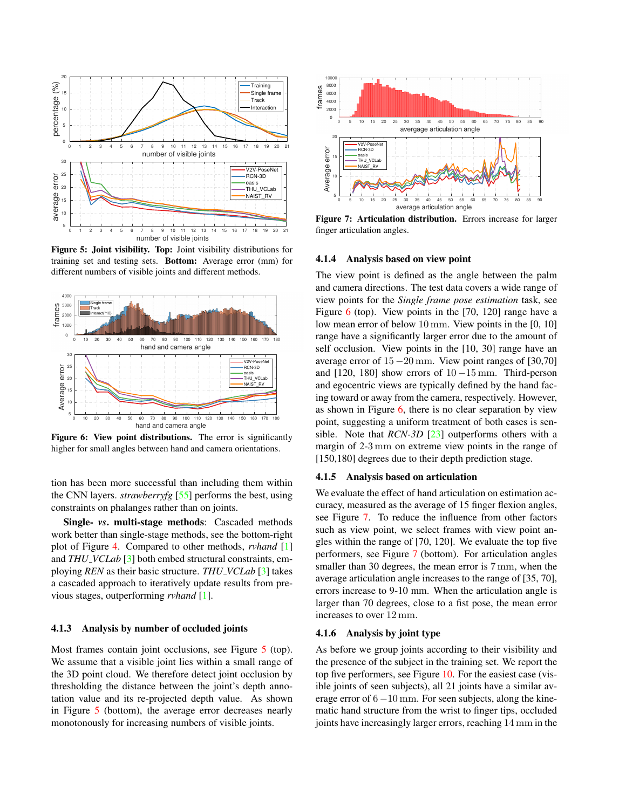<span id="page-5-3"></span><span id="page-5-0"></span>

Figure 5: Joint visibility. Top: Joint visibility distributions for training set and testing sets. Bottom: Average error (mm) for different numbers of visible joints and different methods.

<span id="page-5-1"></span>

Figure 6: View point distributions. The error is significantly higher for small angles between hand and camera orientations.

tion has been more successful than including them within the CNN layers. *strawberryfg* [\[55\]](#page-9-20) performs the best, using constraints on phalanges rather than on joints.

Single- *vs*. multi-stage methods: Cascaded methods work better than single-stage methods, see the bottom-right plot of Figure [4.](#page-4-0) Compared to other methods, *rvhand* [\[1\]](#page-8-19) and *THU VCLab* [\[3\]](#page-8-21) both embed structural constraints, employing *REN* as their basic structure. *THU VCLab* [\[3\]](#page-8-21) takes a cascaded approach to iteratively update results from previous stages, outperforming *rvhand* [\[1\]](#page-8-19).

## 4.1.3 Analysis by number of occluded joints

Most frames contain joint occlusions, see Figure [5](#page-5-0) (top). We assume that a visible joint lies within a small range of the 3D point cloud. We therefore detect joint occlusion by thresholding the distance between the joint's depth annotation value and its re-projected depth value. As shown in Figure [5](#page-5-0) (bottom), the average error decreases nearly monotonously for increasing numbers of visible joints.

<span id="page-5-2"></span>

Figure 7: Articulation distribution. Errors increase for larger finger articulation angles.

#### 4.1.4 Analysis based on view point

The view point is defined as the angle between the palm and camera directions. The test data covers a wide range of view points for the *Single frame pose estimation* task, see Figure [6](#page-5-1) (top). View points in the [70, 120] range have a low mean error of below 10 mm. View points in the [0, 10] range have a significantly larger error due to the amount of self occlusion. View points in the [10, 30] range have an average error of  $15-20$  mm. View point ranges of [30,70] and  $[120, 180]$  show errors of  $10-15$  mm. Third-person and egocentric views are typically defined by the hand facing toward or away from the camera, respectively. However, as shown in Figure  $6$ , there is no clear separation by view point, suggesting a uniform treatment of both cases is sensible. Note that *RCN-3D* [\[23\]](#page-8-24) outperforms others with a margin of 2-3 mm on extreme view points in the range of [150,180] degrees due to their depth prediction stage.

#### 4.1.5 Analysis based on articulation

We evaluate the effect of hand articulation on estimation accuracy, measured as the average of 15 finger flexion angles, see Figure [7.](#page-5-2) To reduce the influence from other factors such as view point, we select frames with view point angles within the range of [70, 120]. We evaluate the top five performers, see Figure [7](#page-5-2) (bottom). For articulation angles smaller than 30 degrees, the mean error is  $7 \text{ mm}$ , when the average articulation angle increases to the range of [35, 70], errors increase to 9-10 mm. When the articulation angle is larger than 70 degrees, close to a fist pose, the mean error increases to over 12 mm.

## 4.1.6 Analysis by joint type

As before we group joints according to their visibility and the presence of the subject in the training set. We report the top five performers, see Figure [10.](#page-6-0) For the easiest case (visible joints of seen subjects), all 21 joints have a similar average error of  $6 - 10$  mm. For seen subjects, along the kinematic hand structure from the wrist to finger tips, occluded joints have increasingly larger errors, reaching 14 mm in the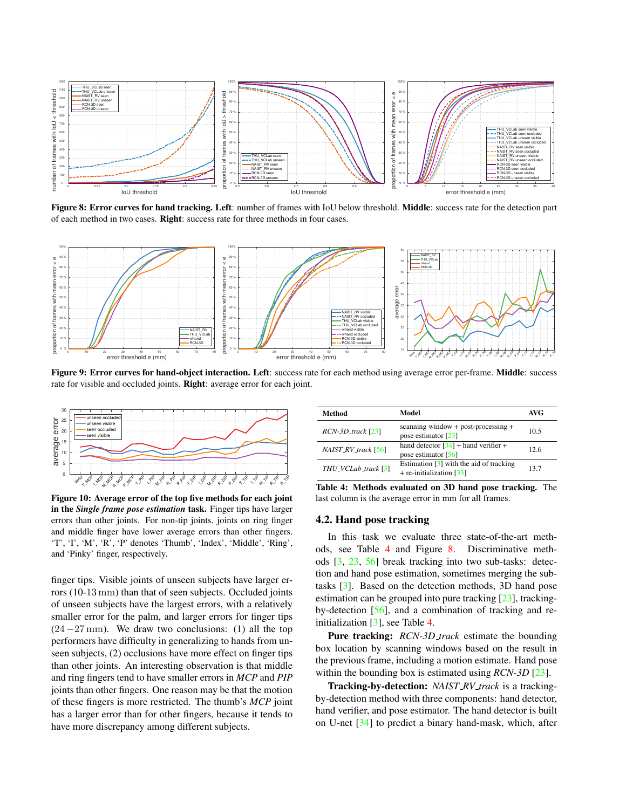<span id="page-6-4"></span><span id="page-6-2"></span>

Figure 8: Error curves for hand tracking. Left: number of frames with IoU below threshold. Middle: success rate for the detection part of each method in two cases. Right: success rate for three methods in four cases.

<span id="page-6-3"></span>

Figure 9: Error curves for hand-object interaction. Left: success rate for each method using average error per-frame. Middle: success rate for visible and occluded joints. Right: average error for each joint.

<span id="page-6-0"></span>

Figure 10: Average error of the top five methods for each joint in the *Single frame pose estimation* task. Finger tips have larger errors than other joints. For non-tip joints, joints on ring finger and middle finger have lower average errors than other fingers. 'T', 'I', 'M', 'R', 'P' denotes 'Thumb', 'Index', 'Middle', 'Ring', and 'Pinky' finger, respectively.

finger tips. Visible joints of unseen subjects have larger errors (10-13 mm) than that of seen subjects. Occluded joints of unseen subjects have the largest errors, with a relatively smaller error for the palm, and larger errors for finger tips  $(24 - 27 \text{ mm})$ . We draw two conclusions: (1) all the top performers have difficulty in generalizing to hands from unseen subjects, (2) occlusions have more effect on finger tips than other joints. An interesting observation is that middle and ring fingers tend to have smaller errors in *MCP* and *PIP* joints than other fingers. One reason may be that the motion of these fingers is more restricted. The thumb's *MCP* joint has a larger error than for other fingers, because it tends to have more discrepancy among different subjects.

<span id="page-6-1"></span>

| Method               | Model                                                                               | AVG  |
|----------------------|-------------------------------------------------------------------------------------|------|
| $RCN-3D_$ track [23] | scanning window + post-processing +<br>pose estimator $\lceil 23 \rceil$            | 10.5 |
| NAIST_RV_track [56]  | hand detector $[34]$ + hand verifier +<br>pose estimator $[56]$                     | 12.6 |
| THU_VCLab_track [3]  | Estimation $\lceil 3 \rceil$ with the aid of tracking<br>$+$ re-initialization [33] | 13.7 |

Table 4: Methods evaluated on 3D hand pose tracking. The last column is the average error in mm for all frames.

## 4.2. Hand pose tracking

In this task we evaluate three state-of-the-art methods, see Table [4](#page-6-1) and Figure [8.](#page-6-2) Discriminative methods [\[3,](#page-8-21) [23,](#page-8-24) [56\]](#page-9-18) break tracking into two sub-tasks: detection and hand pose estimation, sometimes merging the subtasks [\[3\]](#page-8-21). Based on the detection methods, 3D hand pose estimation can be grouped into pure tracking [\[23\]](#page-8-24), trackingby-detection [\[56\]](#page-9-18), and a combination of tracking and reinitialization [\[3\]](#page-8-21), see Table [4.](#page-6-1)

Pure tracking: *RCN-3D track* estimate the bounding box location by scanning windows based on the result in the previous frame, including a motion estimate. Hand pose within the bounding box is estimated using *RCN-3D* [\[23\]](#page-8-24).

Tracking-by-detection: *NAIST RV track* is a trackingby-detection method with three components: hand detector, hand verifier, and pose estimator. The hand detector is built on U-net [\[34\]](#page-8-36) to predict a binary hand-mask, which, after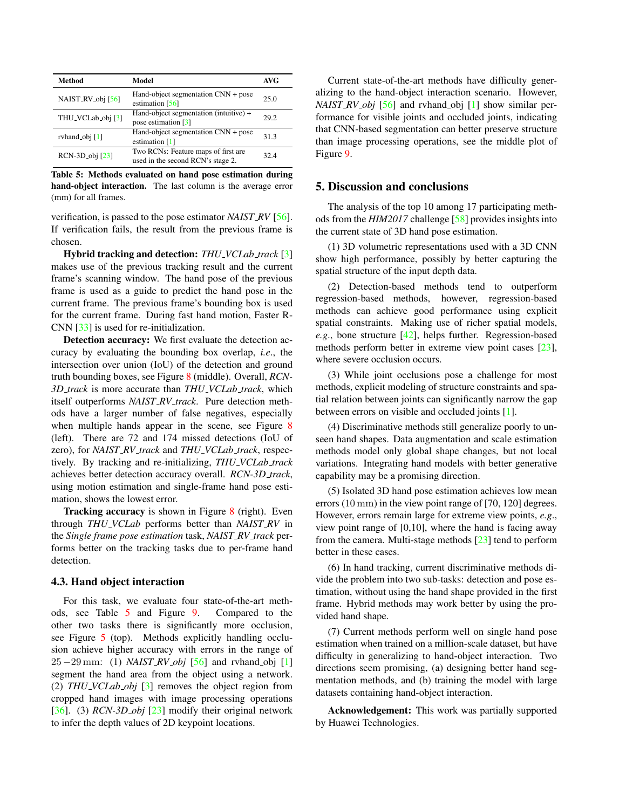<span id="page-7-1"></span><span id="page-7-0"></span>

| <b>Method</b>               | Model                                                                       | <b>AVG</b> |
|-----------------------------|-----------------------------------------------------------------------------|------------|
| NAIST_RV_obj [56]           | Hand-object segmentation $CNN + pose$<br>estimation [56]                    | 25.0       |
| THU_VCLab_obj [3]           | Hand-object segmentation (intuitive) +<br>pose estimation $\lceil 3 \rceil$ | 29.2       |
| rvhand_obj [1]              | Hand-object segmentation CNN + pose<br>estimation $[1]$                     | 31.3       |
| RCN-3D <sub>-obj</sub> [23] | Two RCNs: Feature maps of first are<br>used in the second RCN's stage 2.    | 32.4       |

Table 5: Methods evaluated on hand pose estimation during hand-object interaction. The last column is the average error (mm) for all frames.

verification, is passed to the pose estimator *NAIST RV* [\[56\]](#page-9-18). If verification fails, the result from the previous frame is chosen.

Hybrid tracking and detection: *THU VCLab track* [\[3\]](#page-8-21) makes use of the previous tracking result and the current frame's scanning window. The hand pose of the previous frame is used as a guide to predict the hand pose in the current frame. The previous frame's bounding box is used for the current frame. During fast hand motion, Faster R-CNN [\[33\]](#page-8-37) is used for re-initialization.

Detection accuracy: We first evaluate the detection accuracy by evaluating the bounding box overlap, *i.e*., the intersection over union (IoU) of the detection and ground truth bounding boxes, see Figure [8](#page-6-2) (middle). Overall, *RCN-3D track* is more accurate than *THU VCLab track*, which itself outperforms *NAIST RV track*. Pure detection methods have a larger number of false negatives, especially when multiple hands appear in the scene, see Figure [8](#page-6-2) (left). There are 72 and 174 missed detections (IoU of zero), for *NAIST RV track* and *THU VCLab track*, respectively. By tracking and re-initializing, *THU VCLab track* achieves better detection accuracy overall. *RCN-3D track*, using motion estimation and single-frame hand pose estimation, shows the lowest error.

Tracking accuracy is shown in Figure [8](#page-6-2) (right). Even through *THU VCLab* performs better than *NAIST RV* in the *Single frame pose estimation* task, *NAIST RV track* performs better on the tracking tasks due to per-frame hand detection.

## 4.3. Hand object interaction

For this task, we evaluate four state-of-the-art methods, see Table [5](#page-7-0) and Figure [9.](#page-6-3) Compared to the other two tasks there is significantly more occlusion, see Figure [5](#page-5-0) (top). Methods explicitly handling occlusion achieve higher accuracy with errors in the range of  $25 - 29$  mm: (1) *NAIST\_RV\_obj* [\[56\]](#page-9-18) and rvhand\_obj [\[1\]](#page-8-19) segment the hand area from the object using a network. (2) *THU VCLab obj* [\[3\]](#page-8-21) removes the object region from cropped hand images with image processing operations [\[36\]](#page-8-38). (3) *RCN-3D<sub>-obj</sub>* [\[23\]](#page-8-24) modify their original network to infer the depth values of 2D keypoint locations.

Current state-of-the-art methods have difficulty generalizing to the hand-object interaction scenario. However, *NAIST RV obj* [\[56\]](#page-9-18) and rvhand obj [\[1\]](#page-8-19) show similar performance for visible joints and occluded joints, indicating that CNN-based segmentation can better preserve structure than image processing operations, see the middle plot of Figure [9.](#page-6-3)

## 5. Discussion and conclusions

The analysis of the top 10 among 17 participating methods from the *HIM2017* challenge [\[58\]](#page-9-15) provides insights into the current state of 3D hand pose estimation.

(1) 3D volumetric representations used with a 3D CNN show high performance, possibly by better capturing the spatial structure of the input depth data.

(2) Detection-based methods tend to outperform regression-based methods, however, regression-based methods can achieve good performance using explicit spatial constraints. Making use of richer spatial models, *e.g*., bone structure [\[42\]](#page-9-21), helps further. Regression-based methods perform better in extreme view point cases [\[23\]](#page-8-24), where severe occlusion occurs.

(3) While joint occlusions pose a challenge for most methods, explicit modeling of structure constraints and spatial relation between joints can significantly narrow the gap between errors on visible and occluded joints [\[1\]](#page-8-19).

(4) Discriminative methods still generalize poorly to unseen hand shapes. Data augmentation and scale estimation methods model only global shape changes, but not local variations. Integrating hand models with better generative capability may be a promising direction.

(5) Isolated 3D hand pose estimation achieves low mean errors (10 mm) in the view point range of [70, 120] degrees. However, errors remain large for extreme view points, *e.g*., view point range of [0,10], where the hand is facing away from the camera. Multi-stage methods [\[23\]](#page-8-24) tend to perform better in these cases.

(6) In hand tracking, current discriminative methods divide the problem into two sub-tasks: detection and pose estimation, without using the hand shape provided in the first frame. Hybrid methods may work better by using the provided hand shape.

(7) Current methods perform well on single hand pose estimation when trained on a million-scale dataset, but have difficulty in generalizing to hand-object interaction. Two directions seem promising, (a) designing better hand segmentation methods, and (b) training the model with large datasets containing hand-object interaction.

Acknowledgement: This work was partially supported by Huawei Technologies.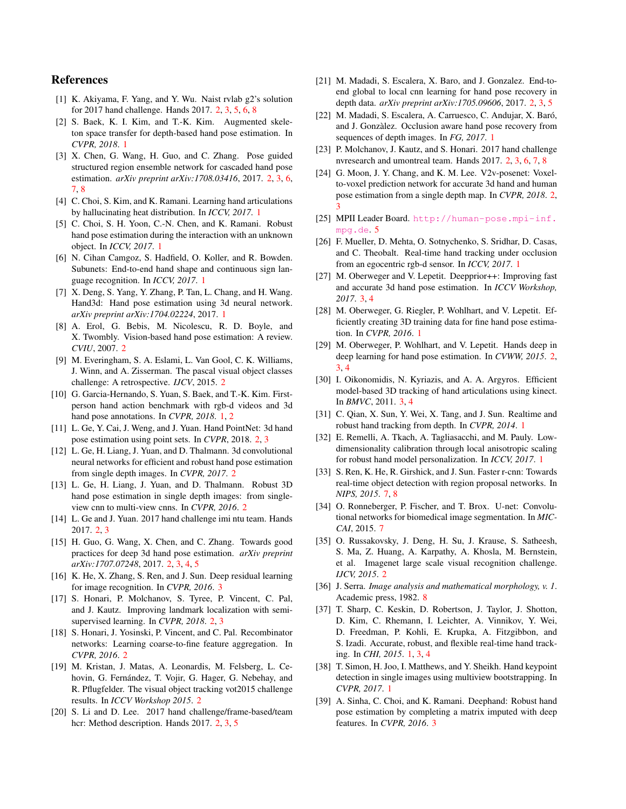## References

- <span id="page-8-19"></span>[1] K. Akiyama, F. Yang, and Y. Wu. Naist rvlab g2's solution for 2017 hand challenge. Hands 2017. [2,](#page-1-2) [3,](#page-2-1) [5,](#page-4-1) [6,](#page-5-3) [8](#page-7-1)
- <span id="page-8-0"></span>[2] S. Baek, K. I. Kim, and T.-K. Kim. Augmented skeleton space transfer for depth-based hand pose estimation. In *CVPR, 2018*. [1](#page-0-0)
- <span id="page-8-21"></span>[3] X. Chen, G. Wang, H. Guo, and C. Zhang. Pose guided structured region ensemble network for cascaded hand pose estimation. *arXiv preprint arXiv:1708.03416*, 2017. [2,](#page-1-2) [3,](#page-2-1) [6,](#page-5-3) [7,](#page-6-4) [8](#page-7-1)
- <span id="page-8-1"></span>[4] C. Choi, S. Kim, and K. Ramani. Learning hand articulations by hallucinating heat distribution. In *ICCV, 2017*. [1](#page-0-0)
- <span id="page-8-2"></span>[5] C. Choi, S. H. Yoon, C.-N. Chen, and K. Ramani. Robust hand pose estimation during the interaction with an unknown object. In *ICCV, 2017*. [1](#page-0-0)
- <span id="page-8-3"></span>[6] N. Cihan Camgoz, S. Hadfield, O. Koller, and R. Bowden. Subunets: End-to-end hand shape and continuous sign language recognition. In *ICCV, 2017*. [1](#page-0-0)
- <span id="page-8-4"></span>[7] X. Deng, S. Yang, Y. Zhang, P. Tan, L. Chang, and H. Wang. Hand3d: Hand pose estimation using 3d neural network. *arXiv preprint arXiv:1704.02224*, 2017. [1](#page-0-0)
- <span id="page-8-16"></span>[8] A. Erol, G. Bebis, M. Nicolescu, R. D. Boyle, and X. Twombly. Vision-based hand pose estimation: A review. *CVIU*, 2007. [2](#page-1-2)
- <span id="page-8-14"></span>[9] M. Everingham, S. A. Eslami, L. Van Gool, C. K. Williams, J. Winn, and A. Zisserman. The pascal visual object classes challenge: A retrospective. *IJCV*, 2015. [2](#page-1-2)
- <span id="page-8-9"></span>[10] G. Garcia-Hernando, S. Yuan, S. Baek, and T.-K. Kim. Firstperson hand action benchmark with rgb-d videos and 3d hand pose annotations. In *CVPR, 2018*. [1,](#page-0-0) [2](#page-1-2)
- <span id="page-8-28"></span>[11] L. Ge, Y. Cai, J. Weng, and J. Yuan. Hand PointNet: 3d hand pose estimation using point sets. In *CVPR*, 2018. [2,](#page-1-2) [3](#page-2-1)
- <span id="page-8-25"></span>[12] L. Ge, H. Liang, J. Yuan, and D. Thalmann. 3d convolutional neural networks for efficient and robust hand pose estimation from single depth images. In *CVPR, 2017*. [2](#page-1-2)
- <span id="page-8-27"></span>[13] L. Ge, H. Liang, J. Yuan, and D. Thalmann. Robust 3D hand pose estimation in single depth images: from singleview cnn to multi-view cnns. In *CVPR, 2016*. [2](#page-1-2)
- <span id="page-8-22"></span>[14] L. Ge and J. Yuan. 2017 hand challenge imi ntu team. Hands 2017. [2,](#page-1-2) [3](#page-2-1)
- <span id="page-8-18"></span>[15] H. Guo, G. Wang, X. Chen, and C. Zhang. Towards good practices for deep 3d hand pose estimation. *arXiv preprint arXiv:1707.07248*, 2017. [2,](#page-1-2) [3,](#page-2-1) [4,](#page-3-3) [5](#page-4-1)
- <span id="page-8-31"></span>[16] K. He, X. Zhang, S. Ren, and J. Sun. Deep residual learning for image recognition. In *CVPR, 2016*. [3](#page-2-1)
- <span id="page-8-29"></span>[17] S. Honari, P. Molchanov, S. Tyree, P. Vincent, C. Pal, and J. Kautz. Improving landmark localization with semisupervised learning. In *CVPR, 2018*. [2,](#page-1-2) [3](#page-2-1)
- <span id="page-8-30"></span>[18] S. Honari, J. Yosinski, P. Vincent, and C. Pal. Recombinator networks: Learning coarse-to-fine feature aggregation. In *CVPR, 2016*. [2](#page-1-2)
- <span id="page-8-15"></span>[19] M. Kristan, J. Matas, A. Leonardis, M. Felsberg, L. Cehovin, G. Fernández, T. Vojir, G. Hager, G. Nebehay, and R. Pflugfelder. The visual object tracking vot2015 challenge results. In *ICCV Workshop 2015*. [2](#page-1-2)
- <span id="page-8-20"></span>[20] S. Li and D. Lee. 2017 hand challenge/frame-based/team hcr: Method description. Hands 2017. [2,](#page-1-2) [3,](#page-2-1) [5](#page-4-1)
- <span id="page-8-23"></span>[21] M. Madadi, S. Escalera, X. Baro, and J. Gonzalez. End-toend global to local cnn learning for hand pose recovery in depth data. *arXiv preprint arXiv:1705.09606*, 2017. [2,](#page-1-2) [3,](#page-2-1) [5](#page-4-1)
- <span id="page-8-10"></span>[22] M. Madadi, S. Escalera, A. Carruesco, C. Andujar, X. Baró, and J. Gonzalez. Occlusion aware hand pose recovery from ` sequences of depth images. In *FG, 2017*. [1](#page-0-0)
- <span id="page-8-24"></span>[23] P. Molchanov, J. Kautz, and S. Honari. 2017 hand challenge nvresearch and umontreal team. Hands 2017. [2,](#page-1-2) [3,](#page-2-1) [6,](#page-5-3) [7,](#page-6-4) [8](#page-7-1)
- <span id="page-8-26"></span>[24] G. Moon, J. Y. Chang, and K. M. Lee. V2v-posenet: Voxelto-voxel prediction network for accurate 3d hand and human pose estimation from a single depth map. In *CVPR, 2018*. [2,](#page-1-2) [3](#page-2-1)
- <span id="page-8-35"></span>[25] MPII Leader Board. [http://human-pose.mpi-inf.](http://human-pose.mpi-inf.mpg.de) [mpg.de](http://human-pose.mpi-inf.mpg.de). [5](#page-4-1)
- <span id="page-8-5"></span>[26] F. Mueller, D. Mehta, O. Sotnychenko, S. Sridhar, D. Casas, and C. Theobalt. Real-time hand tracking under occlusion from an egocentric rgb-d sensor. In *ICCV, 2017*. [1](#page-0-0)
- <span id="page-8-33"></span>[27] M. Oberweger and V. Lepetit. Deepprior++: Improving fast and accurate 3d hand pose estimation. In *ICCV Workshop, 2017*. [3,](#page-2-1) [4](#page-3-3)
- <span id="page-8-6"></span>[28] M. Oberweger, G. Riegler, P. Wohlhart, and V. Lepetit. Efficiently creating 3D training data for fine hand pose estimation. In *CVPR, 2016*. [1](#page-0-0)
- <span id="page-8-17"></span>[29] M. Oberweger, P. Wohlhart, and V. Lepetit. Hands deep in deep learning for hand pose estimation. In *CVWW, 2015*. [2,](#page-1-2) [3,](#page-2-1) [4](#page-3-3)
- <span id="page-8-34"></span>[30] I. Oikonomidis, N. Kyriazis, and A. A. Argyros. Efficient model-based 3D tracking of hand articulations using kinect. In *BMVC*, 2011. [3,](#page-2-1) [4](#page-3-3)
- <span id="page-8-11"></span>[31] C. Qian, X. Sun, Y. Wei, X. Tang, and J. Sun. Realtime and robust hand tracking from depth. In *CVPR, 2014*. [1](#page-0-0)
- <span id="page-8-7"></span>[32] E. Remelli, A. Tkach, A. Tagliasacchi, and M. Pauly. Lowdimensionality calibration through local anisotropic scaling for robust hand model personalization. In *ICCV, 2017*. [1](#page-0-0)
- <span id="page-8-37"></span>[33] S. Ren, K. He, R. Girshick, and J. Sun. Faster r-cnn: Towards real-time object detection with region proposal networks. In *NIPS, 2015*. [7,](#page-6-4) [8](#page-7-1)
- <span id="page-8-36"></span>[34] O. Ronneberger, P. Fischer, and T. Brox. U-net: Convolutional networks for biomedical image segmentation. In *MIC-CAI*, 2015. [7](#page-6-4)
- <span id="page-8-13"></span>[35] O. Russakovsky, J. Deng, H. Su, J. Krause, S. Satheesh, S. Ma, Z. Huang, A. Karpathy, A. Khosla, M. Bernstein, et al. Imagenet large scale visual recognition challenge. *IJCV, 2015*. [2](#page-1-2)
- <span id="page-8-38"></span>[36] J. Serra. *Image analysis and mathematical morphology, v. 1*. Academic press, 1982. [8](#page-7-1)
- <span id="page-8-12"></span>[37] T. Sharp, C. Keskin, D. Robertson, J. Taylor, J. Shotton, D. Kim, C. Rhemann, I. Leichter, A. Vinnikov, Y. Wei, D. Freedman, P. Kohli, E. Krupka, A. Fitzgibbon, and S. Izadi. Accurate, robust, and flexible real-time hand tracking. In *CHI, 2015*. [1,](#page-0-0) [3,](#page-2-1) [4](#page-3-3)
- <span id="page-8-8"></span>[38] T. Simon, H. Joo, I. Matthews, and Y. Sheikh. Hand keypoint detection in single images using multiview bootstrapping. In *CVPR, 2017*. [1](#page-0-0)
- <span id="page-8-32"></span>[39] A. Sinha, C. Choi, and K. Ramani. Deephand: Robust hand pose estimation by completing a matrix imputed with deep features. In *CVPR, 2016*. [3](#page-2-1)